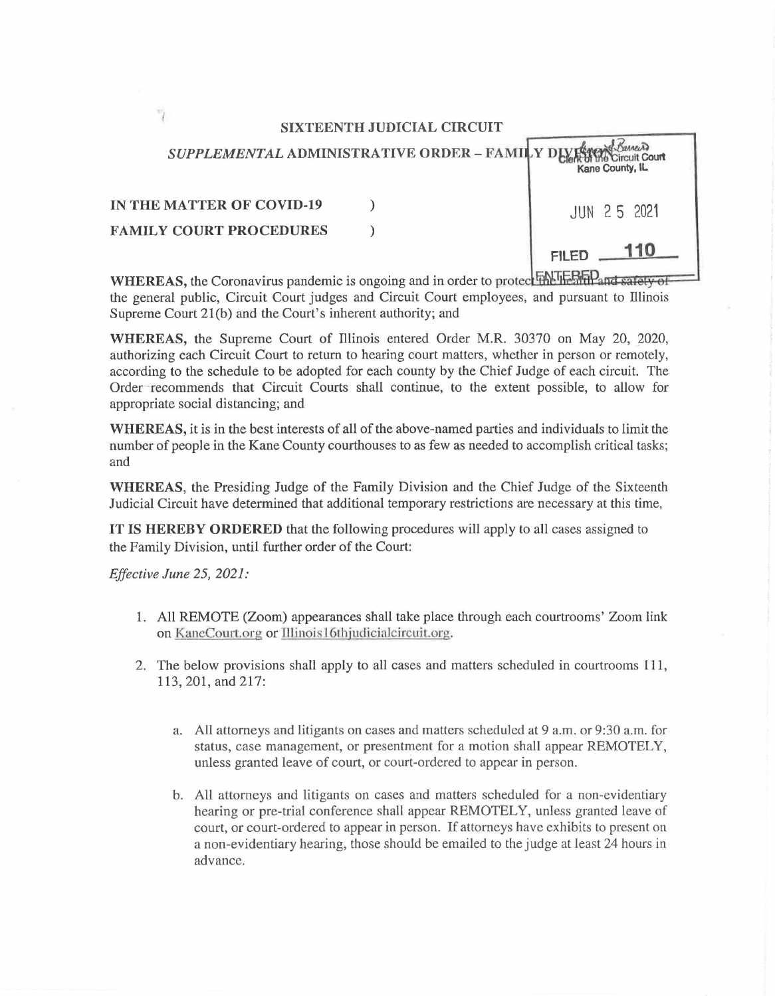## SIXTEENTH JUDICIAL CIRCUIT

| SUPPLEMENTAL ADMINISTRATIVE ORDER - FAMILY DIVISION | Kane County, IL |
|-----------------------------------------------------|-----------------|
| <b>IN THE MATTER OF COVID-19</b>                    | JUN 25 2021     |
| <b>FAMILY COURT PROCEDURES</b>                      |                 |
|                                                     | <b>FILED</b>    |

WHEREAS, the Coronavirus pandemic is ongoing and in order to protec<sup>t</sup> FANIE SHP and safety of the general public, Circuit Court judges and Circuit Court employees, and pursuant to Illinois Supreme Court 2l(b) and the Court's inherent authority; and

WHEREAS, the Supreme Court of illinois entered Order M.R. 30370 on May 20, 2020, authorizing each Circuit Court to return to hearing court matters, whether in person or remotely, according to the schedule to be adopted for each county by the Chief Judge of each circuit. The Order -recommends that Circuit Courts shall continue, to the extent possible, to allow for appropriate social distancing; and

WHEREAS, it is in the best interests of all of the above-named parties and individuals to limit the number of people in the Kane County courthouses to as few as needed to accomplish critical tasks; and

WHEREAS, the Presiding Judge of the Family Division and the Chief Judge of the Sixteenth Judicial Circuit have determined that additional temporary restrictions are necessary at this time,

IT IS HEREBY ORDERED that the following procedures will apply to all cases assigned to the Family Division, until further order of the Court:

*Effective June 25, 2021:* 

- 1. All REMOTE (Zoom) appearances shall take place through each courtrooms' Zoom link on KaneCourt.org or Illinois l6thjudicialcircuit.org.
- 2. The below provisions shall apply to all cases and matters scheduled in courtrooms 111, 113, 201, and 217:
	- a. All attorneys and litigants on cases and matters scheduled at 9 a.m. or 9:30a.m. for status, case management, or presentment for a motion shall appear REMOTELY, unless granted leave of court, or court-ordered to appear in person.
	- b. All attorneys and litigants on cases and matters scheduled for a non-evidentiary hearing or pre-trial conference shall appear REMOTELY, unless granted leave of court, or court-ordered to appear in person. If attorneys have exhibits to present on a non-evidentiary hearing, those should be emailed to the judge at least 24 hours in advance.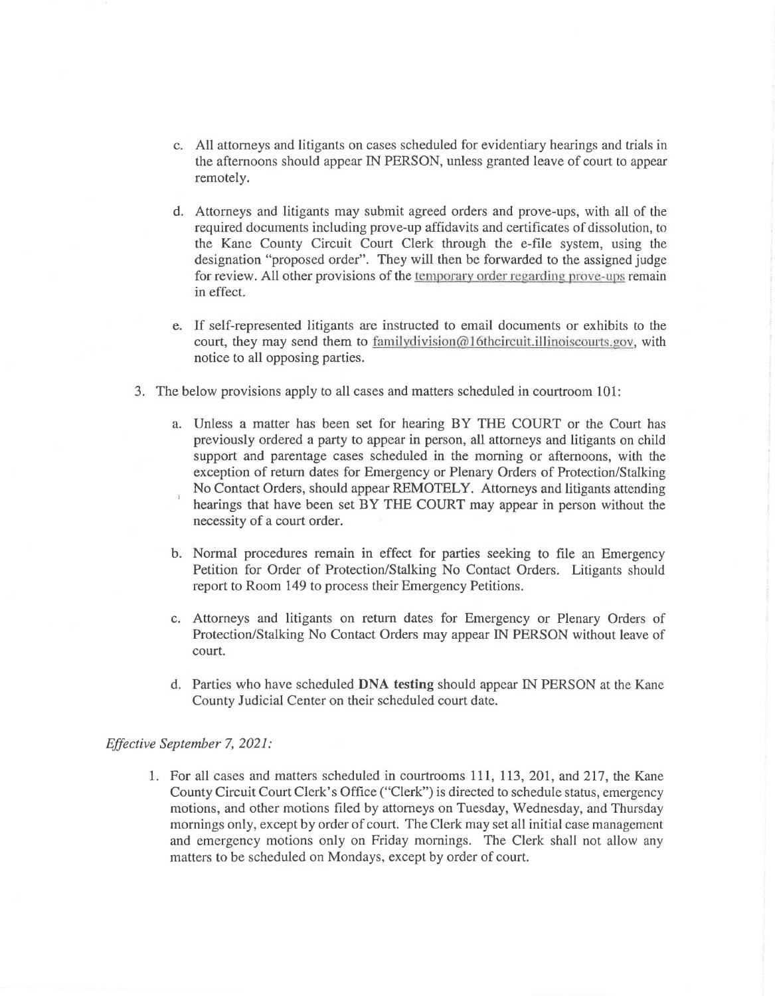- c. All attorneys and litigants on cases scheduled for evidentiary hearings and trials in the afternoons should appear IN PERSON, unless granted leave of court to appear remotely.
- d. Attorneys and litigants may submit agreed orders and prove-ups, with all of the required documents including prove-up affidavits and certificates of dissolution, to the Kane County Circuit Court Clerk through the e-file system, using the designation "proposed order". They will then be forwarded to the assigned judge for review. All other provisions of the temporary order regarding prove-ups remain in effect.
- e. If self-represented litigants are instructed to email documents or exhibits to the court, they may send them to family division  $@16$ thcircuit.illinoiscourts.gov, with notice to all opposing parties.
- 3. The below provisions apply to all cases and matters scheduled in courtroom 101:
	- a. Unless a matter has been set for hearing BY THE COURT or the Court has previously ordered a party to appear in person, all attorneys and litigants on child support and parentage cases scheduled in the morning or afternoons, with the exception of return dates for Emergency or Plenary Orders of Protection/Stalking No Contact Orders, should appear REMOTELY. Attorneys and litigants attending hearings that have been set BY THE COURT may appear in person without the necessity of a court order.
	- b. Normal procedures remain in effect for parties seeking to file an Emergency Petition for Order of Protection/Stalking No Contact Orders. Litigants should report to Room 149 to process their Emergency Petitions.
	- c. Attorneys and litigants on return dates for Emergency or Plenary Orders of Protection/Stalking No Contact Orders may appear IN PERSON without leave of court.
	- d. Parties who have scheduled DNA testing should appear IN PERSON at the Kane County Judicial Center on their scheduled court date.

## *Effective September* 7, *2021:*

1. For all cases and matters scheduled in courtrooms 111, 113,201, and 217, the Kane County Circuit Court Clerk's Office ("Clerk") is directed to schedule status, emergency motions, and other motions filed by attorneys on Tuesday, Wednesday, and Thursday mornings only, except by order of court. The Clerk may set all initial case management and emergency motions only on Friday mornings. The Clerk shall not allow any matters to be scheduled on Mondays, except by order of court.